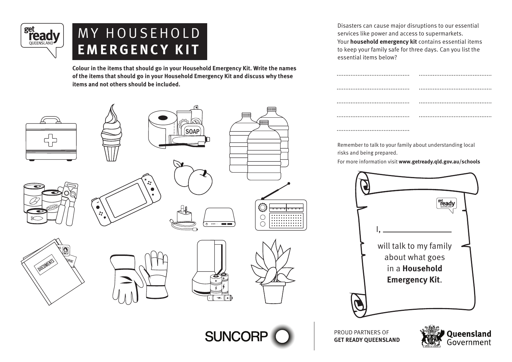

# MY HOUSEHOLD **EMERGENCY KIT**

**Colour in the items that should go in your Household Emergency Kit. Write the names of the items that should go in your Household Emergency Kit and discuss why these items and not others should be included.** 



Disasters can cause major disruptions to our essential services like power and access to supermarkets. Your **household emergency kit** contains essential items to keep your family safe for three days. Can you list the essential items below?

| <br><br> |
|----------|
| <br>     |
| <br>     |

Remember to talk to your family about understanding local risks and being prepared.

For more information visit **www.getready.qld.gov.au/schools**



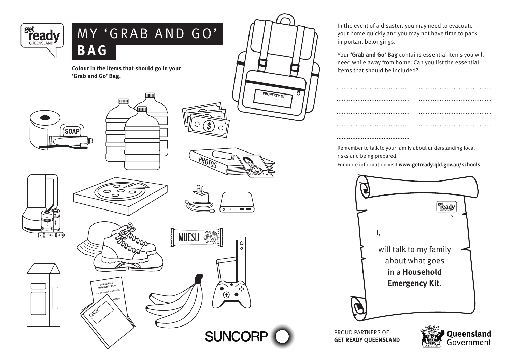

In the event of a disaster, you may need to evacuate your home quickly and you may not have time to pack important belongings.

Your **'Grab and Go' Bag** contains essential items you will need while away from home. Can you list the essential

Remember to talk to your family about understanding local risks and being prepared.

For more information visit **www.getready.qld.gov.au/schools**

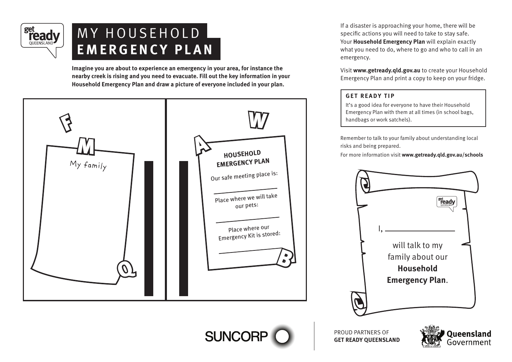

**Imagine you are about to experience an emergency in your area, for instance the nearby creek is rising and you need to evacuate. Fill out the key information in your Household Emergency Plan and draw a picture of everyone included in your plan.**



**SUNCORF** 

If a disaster is approaching your home, there will be specific actions you will need to take to stay safe. Your **Household Emergency Plan** will explain exactly what you need to do, where to go and who to call in an emergency.

Visit **www.getready.qld.gov.au** to create your Household Emergency Plan and print a copy to keep on your fridge.

### **GET READY TIP**

It's a good idea for everyone to have their Household Emergency Plan with them at all times (in school bags, handbags or work satchels).

Remember to talk to your family about understanding local

For more information visit **www.getready.qld.gov.au/schools**



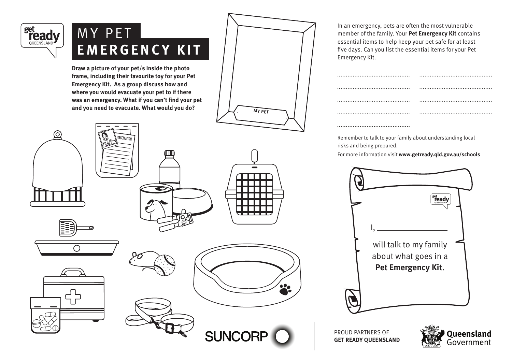

## **MY PET EMERGENCY KIT**

**Draw a picture of your pet/s inside the photo frame, including their favourite toy for your Pet Emergency Kit. As a group discuss how and where you would evacuate your pet to if there was an emergency. What if you can't find your pet**  and you need to evacuate. What would you do?  $\sqrt{MYPET}$ 

CCINATI

 $\bigcap$ 



**SUNCORP** 

In an emergency, pets are often the most vulnerable member of the family. Your **Pet Emergency Kit** contains essential items to help keep your pet safe for at least five days. Can you list the essential items for your Pet Emergency Kit.

| <br><br>  |  |
|-----------|--|
| $\bullet$ |  |
|           |  |
| $\cdots$  |  |
|           |  |

Remember to talk to your family about understanding local risks and being prepared.

For more information visit **www.getready.qld.gov.au/schools**



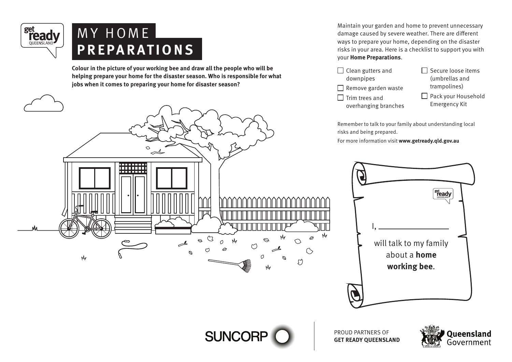

### M Y H O M E **PREPARATIONS**

**Colour in the picture of your working bee and draw all the people who will be helping prepare your home for the disaster season. Who is responsible for what jobs when it comes to preparing your home for disaster season?** 



Maintain your garden and home to prevent unnecessary damage caused by severe weather. There are different ways to prepare your home, depending on the disaster risks in your area. Here is a checklist to support you with your **Home Preparations**.

 $\Box$  Clean gutters and downpipes  $\Box$  Remove garden waste  $\Box$  Trim trees and overhanging branches  $\Box$  Secure loose items (umbrellas and trampolines) Pack your Household Emergency Kit

Remember to talk to your family about understanding local risks and being prepared.

For more information visit **www.getready.qld.gov.au**